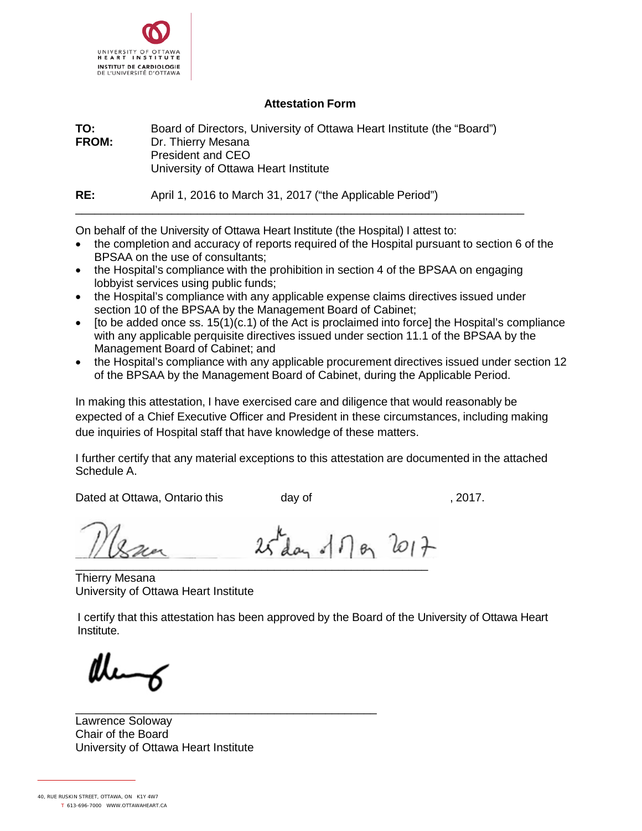

## **Attestation Form**

**TO:** Board of Directors, University of Ottawa Heart Institute (the "Board")<br>**FROM:** Dr. Thierry Mesana **Dr. Thierry Mesana** President and CEO University of Ottawa Heart Institute

**RE:** April 1, 2016 to March 31, 2017 ("the Applicable Period")

On behalf of the University of Ottawa Heart Institute (the Hospital) I attest to:

- the completion and accuracy of reports required of the Hospital pursuant to section 6 of the BPSAA on the use of consultants;
- the Hospital's compliance with the prohibition in section 4 of the BPSAA on engaging lobbyist services using public funds;

\_\_\_\_\_\_\_\_\_\_\_\_\_\_\_\_\_\_\_\_\_\_\_\_\_\_\_\_\_\_\_\_\_\_\_\_\_\_\_\_\_\_\_\_\_\_\_\_\_\_\_\_\_\_\_\_\_\_\_\_\_\_\_\_\_\_\_\_\_\_

- the Hospital's compliance with any applicable expense claims directives issued under section 10 of the BPSAA by the Management Board of Cabinet;
- [to be added once ss. 15(1)(c.1) of the Act is proclaimed into force] the Hospital's compliance with any applicable perquisite directives issued under section 11.1 of the BPSAA by the Management Board of Cabinet; and
- the Hospital's compliance with any applicable procurement directives issued under section 12 of the BPSAA by the Management Board of Cabinet, during the Applicable Period.

In making this attestation, I have exercised care and diligence that would reasonably be expected of a Chief Executive Officer and President in these circumstances, including making due inquiries of Hospital staff that have knowledge of these matters.

I further certify that any material exceptions to this attestation are documented in the attached Schedule A.

Dated at Ottawa, Ontario this *day* of *day* of *day day dex dex dex dex dex dex <i>dex dex dex <i>dex dex dex dex dex dex</del> <i>dex dex dex</del> <i>dex de* 

\_\_\_\_\_\_\_\_\_\_\_\_\_\_\_\_\_\_\_\_\_\_\_\_\_\_\_\_\_\_\_\_\_\_\_\_\_\_\_\_\_\_\_\_\_\_\_\_\_\_\_\_\_\_\_ Thierry Mesana University of Ottawa Heart Institute

I certify that this attestation has been approved by the Board of the University of Ottawa Heart Institute.

 $25$  day of  $\eta_{\theta_1}$   $2017$ 

\_\_\_\_\_\_\_\_\_\_\_\_\_\_\_\_\_\_\_\_\_\_\_\_\_\_\_\_\_\_\_\_\_\_\_\_\_\_\_\_\_\_\_\_\_\_\_ Lawrence Soloway Chair of the Board University of Ottawa Heart Institute